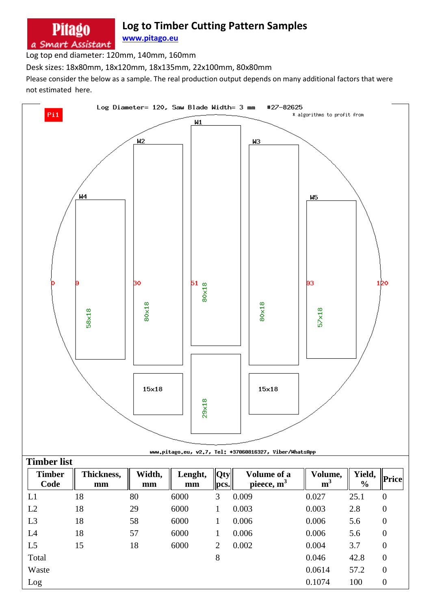## **Log to Timber Cutting Pattern Samples**

**[www.pitago.eu](http://www.pitago.eu/)** a Smart Assistant

Log top end diameter: 120mm, 140mm, 160mm

**Pitago** 

Desk sizes: 18x80mm, 18x120mm, 18x135mm, 22x100mm, 80x80mm

Please consider the below as a sample. The real production output depends on many additional factors that were not estimated here.

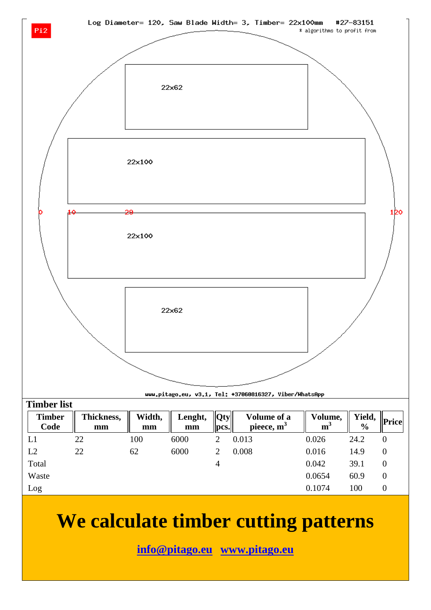



## **We calculate timber cutting patterns**

**[info@pitago.eu](mailto:info@pitago.eu) [www.pitago.eu](http://www.pitago.eu/)**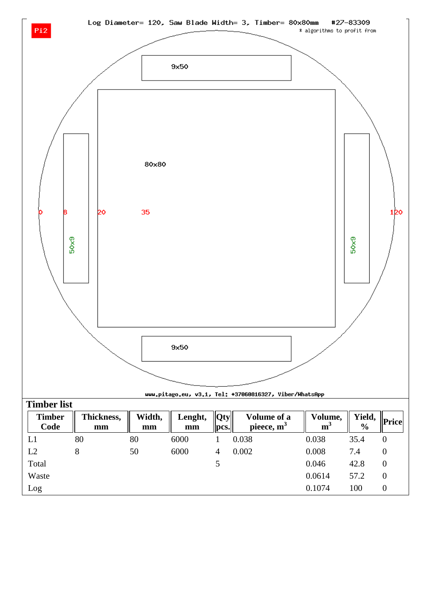

| L2           | 8 | 50 | 6000 | $\overline{4}$ | 0.002 | 0.008  | 7.4  | $\mathbf 0$    |
|--------------|---|----|------|----------------|-------|--------|------|----------------|
| Total        |   |    |      |                |       | 0.046  | 42.8 | $\mathbf 0$    |
| Waste        |   |    |      |                |       | 0.0614 | 57.2 | $\overline{0}$ |
| $_{\rm Log}$ |   |    |      |                |       | 0.1074 | 100  | $\mathbf 0$    |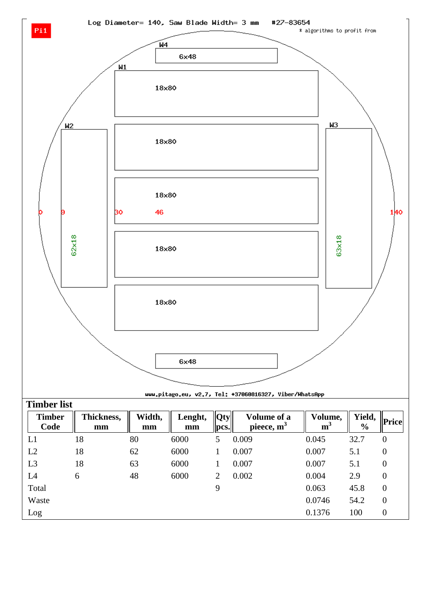



uuu.pitago.eu, v2.7, Tel: +37060816327, Viber/WhatsApp

| <b>Timber list</b>    |                  |              |               |                        |                             |                           |                         |                  |
|-----------------------|------------------|--------------|---------------|------------------------|-----------------------------|---------------------------|-------------------------|------------------|
| <b>Timber</b><br>Code | Thickness,<br>mm | Width,<br>mm | Lenght,<br>mm | Qty <br>$ {\bf pcs.} $ | Volume of a<br>pieece, $m3$ | Volume,<br>m <sup>3</sup> | Yield,<br>$\frac{6}{6}$ | <b>Price</b>     |
| L1                    | 18               | 80           | 6000          | 5                      | 0.009                       | 0.045                     | 32.7                    | $\boldsymbol{0}$ |
| L2                    | 18               | 62           | 6000          |                        | 0.007                       | 0.007                     | 5.1                     | $\boldsymbol{0}$ |
| L <sub>3</sub>        | 18               | 63           | 6000          |                        | 0.007                       | 0.007                     | 5.1                     | $\overline{0}$   |
| L <sub>4</sub>        | 6                | 48           | 6000          | $\overline{2}$         | 0.002                       | 0.004                     | 2.9                     | $\boldsymbol{0}$ |
| Total                 |                  |              |               | 9                      |                             | 0.063                     | 45.8                    | $\boldsymbol{0}$ |
| Waste                 |                  |              |               |                        |                             | 0.0746                    | 54.2                    | $\overline{0}$   |
| Log                   |                  |              |               |                        |                             | 0.1376                    | 100                     | $\theta$         |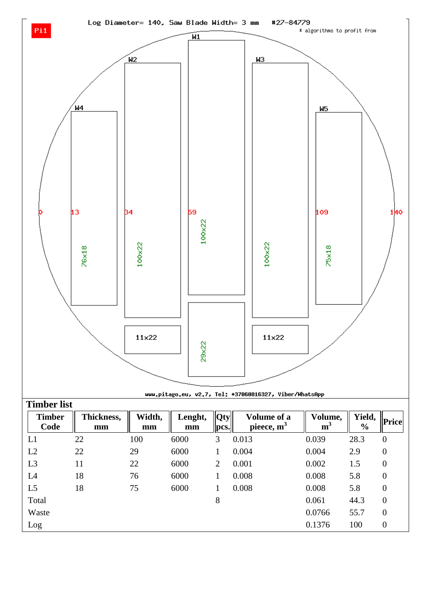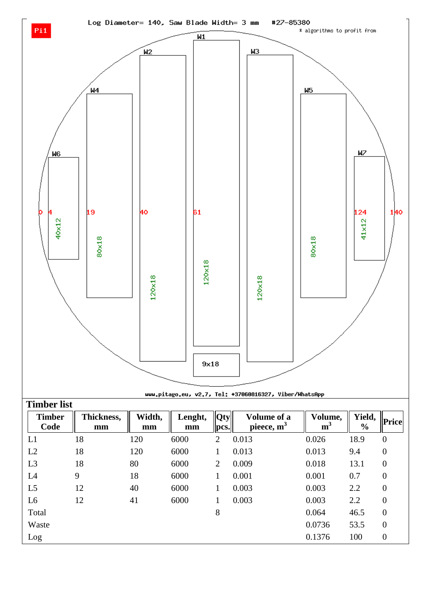

| _ _ _ _        |    |     |      | HE. | .     |        |      |                  |
|----------------|----|-----|------|-----|-------|--------|------|------------------|
| L1             | 18 | 120 | 6000 | 2   | 0.013 | 0.026  | 18.9 | $\boldsymbol{0}$ |
| L2             | 18 | 120 | 6000 |     | 0.013 | 0.013  | 9.4  | $\boldsymbol{0}$ |
| L <sub>3</sub> | 18 | 80  | 6000 | 2   | 0.009 | 0.018  | 13.1 | $\theta$         |
| L4             | 9  | 18  | 6000 |     | 0.001 | 0.001  | 0.7  | $\overline{0}$   |
| L <sub>5</sub> | 12 | 40  | 6000 |     | 0.003 | 0.003  | 2.2  | $\boldsymbol{0}$ |
| L <sub>6</sub> | 12 | 41  | 6000 |     | 0.003 | 0.003  | 2.2  | $\overline{0}$   |
| Total          |    |     |      | 8   |       | 0.064  | 46.5 | $\theta$         |
| Waste          |    |     |      |     |       | 0.0736 | 53.5 | $\theta$         |
| Log            |    |     |      |     |       | 0.1376 | 100  | $\theta$         |
|                |    |     |      |     |       |        |      |                  |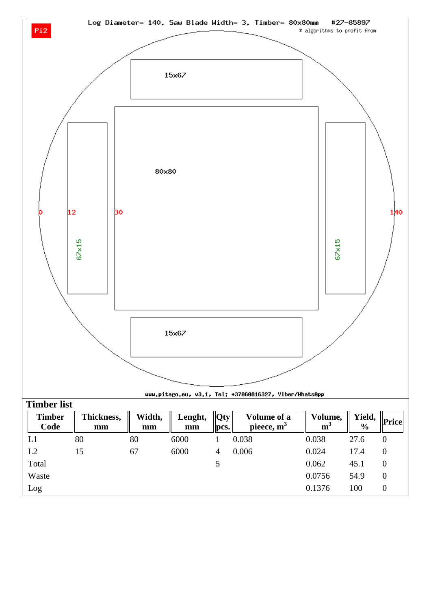

|  |  | uuu,pitago.eu, v3.1, Tel: +37060816327, Viber/WhatsApp     |  |
|--|--|------------------------------------------------------------|--|
|  |  |                                                            |  |
|  |  | Vidth I anght $\ \Omega_{\text{tw}}\ $ Volume of a   Volum |  |

| <b>Timber</b><br>Code | Thickness,<br>mm | Width,<br>mm | Lenght,<br>mm | $\ Qty\ $<br>pcs. | Volume of a<br>pieece, $m3$ | Volume,<br>m <sup>3</sup> | Yield,<br>$\frac{6}{6}$ | Price |
|-----------------------|------------------|--------------|---------------|-------------------|-----------------------------|---------------------------|-------------------------|-------|
| L1                    | 80               | 80           | 6000          |                   | 0.038                       | 0.038                     | 27.6                    | 0     |
| L2                    | 15               | 67           | 6000          | 4                 | 0.006                       | 0.024                     | 17.4                    | 0     |
| Total                 |                  |              |               |                   |                             | 0.062                     | 45.1                    | 0     |
| Waste                 |                  |              |               |                   |                             | 0.0756                    | 54.9                    | 0     |
| Log                   |                  |              |               |                   |                             | 0.1376                    | 100                     |       |

15×67

**Timber list**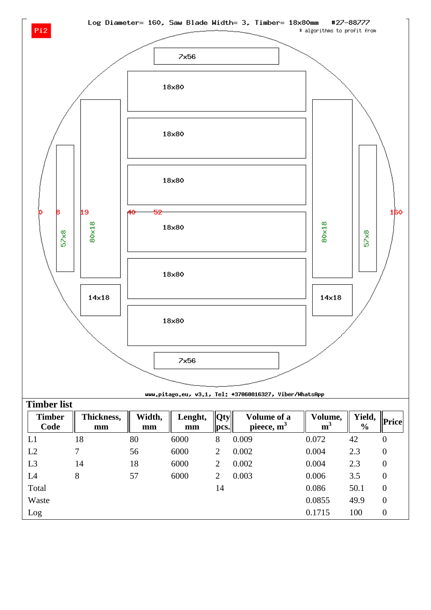



## uuu.pitago.eu, v3.1, Tel: +37060816327, Viber/WhatsApp

| <b>Timber list</b>    |                  |              |               |                |                              |                           |                         |                  |
|-----------------------|------------------|--------------|---------------|----------------|------------------------------|---------------------------|-------------------------|------------------|
| <b>Timber</b><br>Code | Thickness,<br>mm | Width,<br>mm | Lenght,<br>mm | Qty <br>pcs.   | Volume of a<br>pieece, $m^3$ | Volume,<br>m <sup>3</sup> | Yield,<br>$\frac{6}{6}$ | Price            |
| L1                    | 18               | 80           | 6000          | 8              | 0.009                        | 0.072                     | 42                      | $\boldsymbol{0}$ |
| L2                    | 7                | 56           | 6000          | 2              | 0.002                        | 0.004                     | 2.3                     | $\boldsymbol{0}$ |
| L <sub>3</sub>        | 14               | 18           | 6000          | 2              | 0.002                        | 0.004                     | 2.3                     | $\overline{0}$   |
| L <sub>4</sub>        | 8                | 57           | 6000          | $\overline{2}$ | 0.003                        | 0.006                     | 3.5                     | $\boldsymbol{0}$ |
| Total                 |                  |              |               | 14             |                              | 0.086                     | 50.1                    | $\boldsymbol{0}$ |
| Waste                 |                  |              |               |                |                              | 0.0855                    | 49.9                    | $\overline{0}$   |
| Log                   |                  |              |               |                |                              | 0.1715                    | 100                     | $\boldsymbol{0}$ |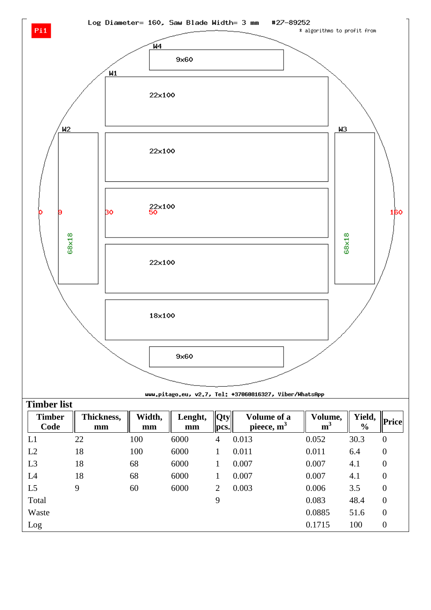



uuu.pitago.eu, v2.7, Tel: +37060816327, Viber/WhatsApp

| <b>Timber list</b>    |                  |              |               |                |                             |                           |                         |                  |
|-----------------------|------------------|--------------|---------------|----------------|-----------------------------|---------------------------|-------------------------|------------------|
| <b>Timber</b><br>Code | Thickness,<br>mm | Width,<br>mm | Lenght,<br>mm | Qty <br>pcs.   | Volume of a<br>pieece, $m3$ | Volume,<br>m <sup>3</sup> | Yield,<br>$\frac{6}{6}$ | <b>Price</b>     |
| L1                    | 22               | 100          | 6000          | $\overline{4}$ | 0.013                       | 0.052                     | 30.3                    | $\boldsymbol{0}$ |
| L2                    | 18               | 100          | 6000          |                | 0.011                       | 0.011                     | 6.4                     | $\boldsymbol{0}$ |
| L <sub>3</sub>        | 18               | 68           | 6000          |                | 0.007                       | 0.007                     | 4.1                     | $\overline{0}$   |
| L4                    | 18               | 68           | 6000          | 1              | 0.007                       | 0.007                     | 4.1                     | $\boldsymbol{0}$ |
| L <sub>5</sub>        | 9                | 60           | 6000          | 2              | 0.003                       | 0.006                     | 3.5                     | $\overline{0}$   |
| Total                 |                  |              |               | 9              |                             | 0.083                     | 48.4                    | $\overline{0}$   |
| Waste                 |                  |              |               |                |                             | 0.0885                    | 51.6                    | $\overline{0}$   |
| Log                   |                  |              |               |                |                             | 0.1715                    | 100                     | $\overline{0}$   |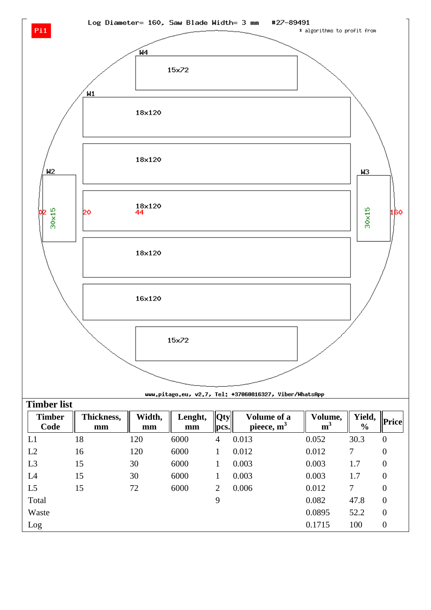

uuu.pitago.eu, v2.7, Tel: +37060816327, Viber/WhatsApp

| <b>Timber list</b>    |                  |              |               |              |                              |                           |                         |                  |
|-----------------------|------------------|--------------|---------------|--------------|------------------------------|---------------------------|-------------------------|------------------|
| <b>Timber</b><br>Code | Thickness,<br>mm | Width,<br>mm | Lenght,<br>mm | Qty <br>pcs. | Volume of a<br>pieece, $m^3$ | Volume,<br>m <sup>3</sup> | Yield,<br>$\frac{0}{0}$ | <b>Price</b>     |
| L1                    | 18               | 120          | 6000          | 4            | 0.013                        | 0.052                     | 30.3                    | $\boldsymbol{0}$ |
| L2                    | 16               | 120          | 6000          |              | 0.012                        | 0.012                     | 7                       | $\boldsymbol{0}$ |
| L3                    | 15               | 30           | 6000          |              | 0.003                        | 0.003                     | 1.7                     | $\overline{0}$   |
| L <sub>4</sub>        | 15               | 30           | 6000          |              | 0.003                        | 0.003                     | 1.7                     | $\boldsymbol{0}$ |
| L <sub>5</sub>        | 15               | 72           | 6000          | 2            | 0.006                        | 0.012                     | 7                       | $\overline{0}$   |
| Total                 |                  |              |               | 9            |                              | 0.082                     | 47.8                    | $\boldsymbol{0}$ |
| Waste                 |                  |              |               |              |                              | 0.0895                    | 52.2                    | $\overline{0}$   |
| Log                   |                  |              |               |              |                              | 0.1715                    | 100                     | $\overline{0}$   |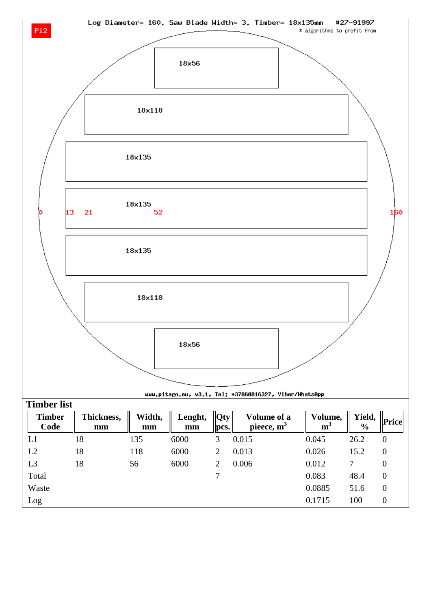